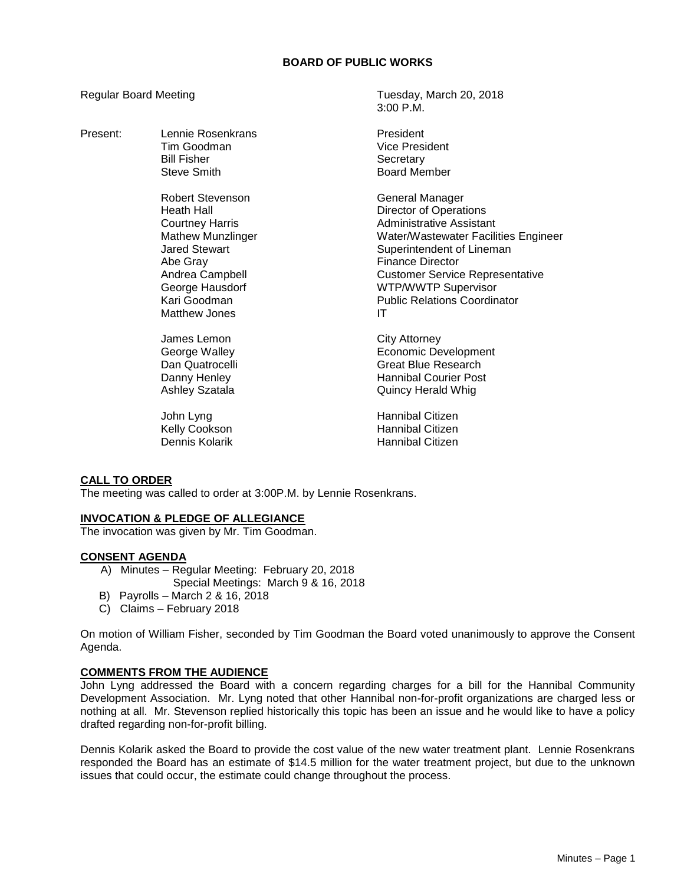## **BOARD OF PUBLIC WORKS**

Present: Lennie Rosenkrans President Tim Goodman Vice President Bill Fisher North Secretary<br>Steve Smith Steve Steve Steve Steve Steve Steve Steve Steve Steve Steve Steve Steve Steve Steve Steve Steve Robert Stevenson General Manager Heath Hall **Hall** Director of Operations Courtney Harris **Administrative Assistant** Mathew Munzlinger Water/Wastewater Facilities Engineer Jared Stewart **Superintendent of Lineman** Abe Gray **Finance Director** 

Regular Board Meeting Tuesday, March 20, 2018  $3.00 \text{ P} \text{M}$ 

Board Member

Andrea Campbell **Andrea** Customer Service Representative George Hausdorf WTP/WWTP Supervisor Kari Goodman **Public Relations Coordinator** Matthew Jones **IT** 

James Lemon City Attorney George Walley **Example 20** Economic Development Dan Quatrocelli Great Blue Research Danny Henley **Hannibal Courier Post** Ashley Szatala **Ashley Szatala** Quincy Herald Whig

John Lyng **Hannibal Citizen** Kelly Cookson Hannibal Citizen Hannibal Citizen

## **CALL TO ORDER**

The meeting was called to order at 3:00P.M. by Lennie Rosenkrans.

## **INVOCATION & PLEDGE OF ALLEGIANCE**

The invocation was given by Mr. Tim Goodman.

## **CONSENT AGENDA**

- A) Minutes Regular Meeting: February 20, 2018
	- Special Meetings: March 9 & 16, 2018
- B) Payrolls March 2 & 16, 2018
- C) Claims February 2018

On motion of William Fisher, seconded by Tim Goodman the Board voted unanimously to approve the Consent Agenda.

## **COMMENTS FROM THE AUDIENCE**

John Lyng addressed the Board with a concern regarding charges for a bill for the Hannibal Community Development Association. Mr. Lyng noted that other Hannibal non-for-profit organizations are charged less or nothing at all. Mr. Stevenson replied historically this topic has been an issue and he would like to have a policy drafted regarding non-for-profit billing.

Dennis Kolarik asked the Board to provide the cost value of the new water treatment plant. Lennie Rosenkrans responded the Board has an estimate of \$14.5 million for the water treatment project, but due to the unknown issues that could occur, the estimate could change throughout the process.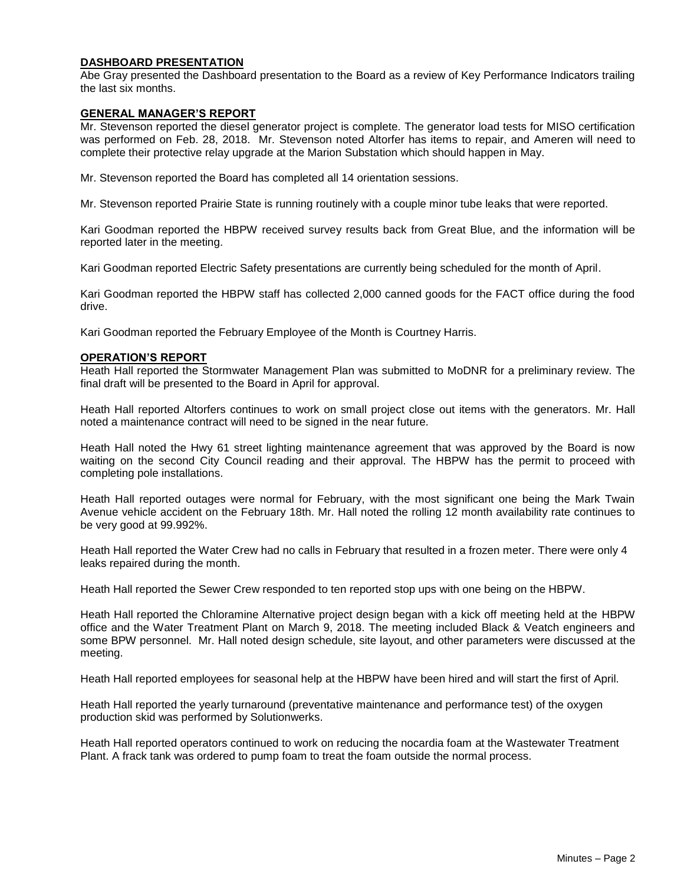## **DASHBOARD PRESENTATION**

Abe Gray presented the Dashboard presentation to the Board as a review of Key Performance Indicators trailing the last six months.

### **GENERAL MANAGER'S REPORT**

Mr. Stevenson reported the diesel generator project is complete. The generator load tests for MISO certification was performed on Feb. 28, 2018. Mr. Stevenson noted Altorfer has items to repair, and Ameren will need to complete their protective relay upgrade at the Marion Substation which should happen in May.

Mr. Stevenson reported the Board has completed all 14 orientation sessions.

Mr. Stevenson reported Prairie State is running routinely with a couple minor tube leaks that were reported.

Kari Goodman reported the HBPW received survey results back from Great Blue, and the information will be reported later in the meeting.

Kari Goodman reported Electric Safety presentations are currently being scheduled for the month of April.

Kari Goodman reported the HBPW staff has collected 2,000 canned goods for the FACT office during the food drive.

Kari Goodman reported the February Employee of the Month is Courtney Harris.

### **OPERATION'S REPORT**

Heath Hall reported the Stormwater Management Plan was submitted to MoDNR for a preliminary review. The final draft will be presented to the Board in April for approval.

Heath Hall reported Altorfers continues to work on small project close out items with the generators. Mr. Hall noted a maintenance contract will need to be signed in the near future.

Heath Hall noted the Hwy 61 street lighting maintenance agreement that was approved by the Board is now waiting on the second City Council reading and their approval. The HBPW has the permit to proceed with completing pole installations.

Heath Hall reported outages were normal for February, with the most significant one being the Mark Twain Avenue vehicle accident on the February 18th. Mr. Hall noted the rolling 12 month availability rate continues to be very good at 99.992%.

Heath Hall reported the Water Crew had no calls in February that resulted in a frozen meter. There were only 4 leaks repaired during the month.

Heath Hall reported the Sewer Crew responded to ten reported stop ups with one being on the HBPW.

Heath Hall reported the Chloramine Alternative project design began with a kick off meeting held at the HBPW office and the Water Treatment Plant on March 9, 2018. The meeting included Black & Veatch engineers and some BPW personnel. Mr. Hall noted design schedule, site layout, and other parameters were discussed at the meeting.

Heath Hall reported employees for seasonal help at the HBPW have been hired and will start the first of April.

Heath Hall reported the yearly turnaround (preventative maintenance and performance test) of the oxygen production skid was performed by Solutionwerks.

Heath Hall reported operators continued to work on reducing the nocardia foam at the Wastewater Treatment Plant. A frack tank was ordered to pump foam to treat the foam outside the normal process.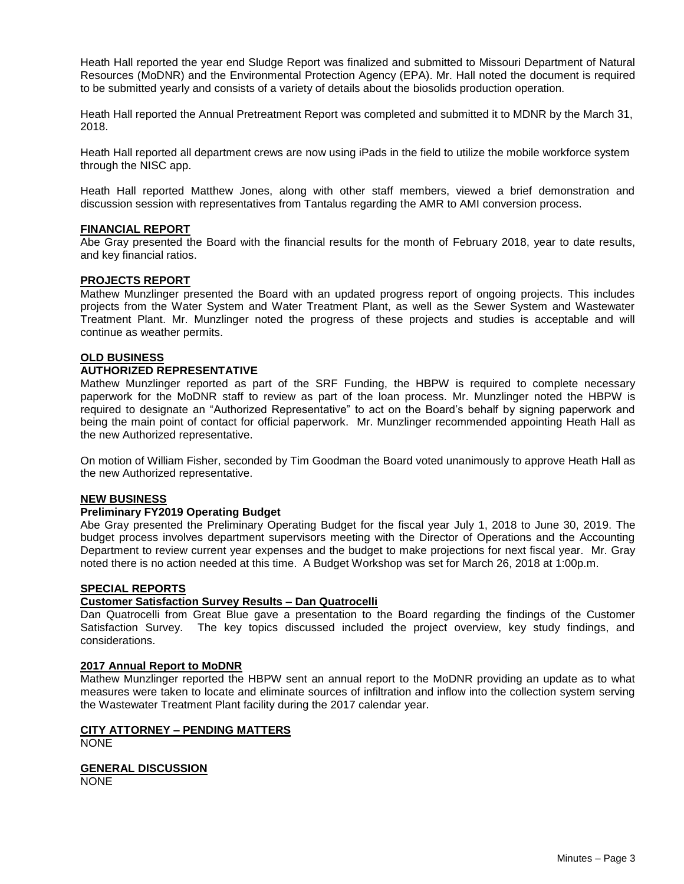Heath Hall reported the year end Sludge Report was finalized and submitted to Missouri Department of Natural Resources (MoDNR) and the Environmental Protection Agency (EPA). Mr. Hall noted the document is required to be submitted yearly and consists of a variety of details about the biosolids production operation.

Heath Hall reported the Annual Pretreatment Report was completed and submitted it to MDNR by the March 31, 2018.

Heath Hall reported all department crews are now using iPads in the field to utilize the mobile workforce system through the NISC app.

Heath Hall reported Matthew Jones, along with other staff members, viewed a brief demonstration and discussion session with representatives from Tantalus regarding the AMR to AMI conversion process.

### **FINANCIAL REPORT**

Abe Gray presented the Board with the financial results for the month of February 2018, year to date results, and key financial ratios.

#### **PROJECTS REPORT**

Mathew Munzlinger presented the Board with an updated progress report of ongoing projects. This includes projects from the Water System and Water Treatment Plant, as well as the Sewer System and Wastewater Treatment Plant. Mr. Munzlinger noted the progress of these projects and studies is acceptable and will continue as weather permits.

#### **OLD BUSINESS**

#### **AUTHORIZED REPRESENTATIVE**

Mathew Munzlinger reported as part of the SRF Funding, the HBPW is required to complete necessary paperwork for the MoDNR staff to review as part of the loan process. Mr. Munzlinger noted the HBPW is required to designate an "Authorized Representative" to act on the Board's behalf by signing paperwork and being the main point of contact for official paperwork. Mr. Munzlinger recommended appointing Heath Hall as the new Authorized representative.

On motion of William Fisher, seconded by Tim Goodman the Board voted unanimously to approve Heath Hall as the new Authorized representative.

#### **NEW BUSINESS**

#### **Preliminary FY2019 Operating Budget**

Abe Gray presented the Preliminary Operating Budget for the fiscal year July 1, 2018 to June 30, 2019. The budget process involves department supervisors meeting with the Director of Operations and the Accounting Department to review current year expenses and the budget to make projections for next fiscal year. Mr. Gray noted there is no action needed at this time. A Budget Workshop was set for March 26, 2018 at 1:00p.m.

#### **SPECIAL REPORTS**

#### **Customer Satisfaction Survey Results – Dan Quatrocelli**

Dan Quatrocelli from Great Blue gave a presentation to the Board regarding the findings of the Customer Satisfaction Survey. The key topics discussed included the project overview, key study findings, and considerations.

## **2017 Annual Report to MoDNR**

Mathew Munzlinger reported the HBPW sent an annual report to the MoDNR providing an update as to what measures were taken to locate and eliminate sources of infiltration and inflow into the collection system serving the Wastewater Treatment Plant facility during the 2017 calendar year.

### **CITY ATTORNEY – PENDING MATTERS NONE**

**GENERAL DISCUSSION** NONE